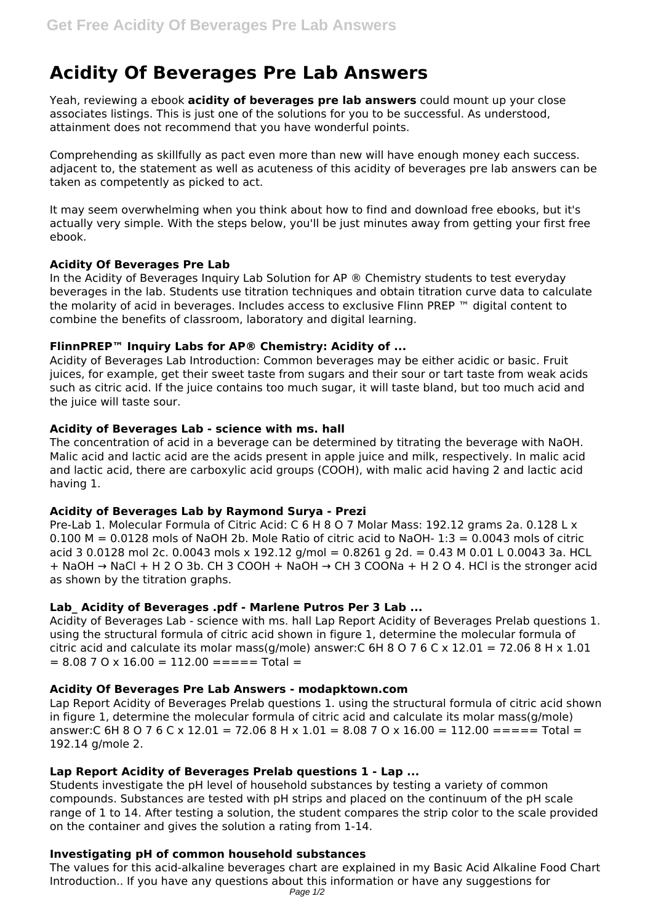# **Acidity Of Beverages Pre Lab Answers**

Yeah, reviewing a ebook **acidity of beverages pre lab answers** could mount up your close associates listings. This is just one of the solutions for you to be successful. As understood, attainment does not recommend that you have wonderful points.

Comprehending as skillfully as pact even more than new will have enough money each success. adjacent to, the statement as well as acuteness of this acidity of beverages pre lab answers can be taken as competently as picked to act.

It may seem overwhelming when you think about how to find and download free ebooks, but it's actually very simple. With the steps below, you'll be just minutes away from getting your first free ebook.

# **Acidity Of Beverages Pre Lab**

In the Acidity of Beverages Inquiry Lab Solution for AP ® Chemistry students to test everyday beverages in the lab. Students use titration techniques and obtain titration curve data to calculate the molarity of acid in beverages. Includes access to exclusive Flinn PREP ™ digital content to combine the benefits of classroom, laboratory and digital learning.

## **FlinnPREP™ Inquiry Labs for AP® Chemistry: Acidity of ...**

Acidity of Beverages Lab Introduction: Common beverages may be either acidic or basic. Fruit juices, for example, get their sweet taste from sugars and their sour or tart taste from weak acids such as citric acid. If the juice contains too much sugar, it will taste bland, but too much acid and the juice will taste sour.

## **Acidity of Beverages Lab - science with ms. hall**

The concentration of acid in a beverage can be determined by titrating the beverage with NaOH. Malic acid and lactic acid are the acids present in apple juice and milk, respectively. In malic acid and lactic acid, there are carboxylic acid groups (COOH), with malic acid having 2 and lactic acid having 1.

#### **Acidity of Beverages Lab by Raymond Surya - Prezi**

Pre-Lab 1. Molecular Formula of Citric Acid: C 6 H 8 O 7 Molar Mass: 192.12 grams 2a. 0.128 L x  $0.100$  M =  $0.0128$  mols of NaOH 2b. Mole Ratio of citric acid to NaOH-  $1:3 = 0.0043$  mols of citric acid 3 0.0128 mol 2c. 0.0043 mols x 192.12 g/mol = 0.8261 g 2d. = 0.43 M 0.01 L 0.0043 3a. HCL + NaOH → NaCl + H 2 O 3b. CH 3 COOH + NaOH → CH 3 COONa + H 2 O 4. HCl is the stronger acid as shown by the titration graphs.

# **Lab\_ Acidity of Beverages .pdf - Marlene Putros Per 3 Lab ...**

Acidity of Beverages Lab - science with ms. hall Lap Report Acidity of Beverages Prelab questions 1. using the structural formula of citric acid shown in figure 1, determine the molecular formula of citric acid and calculate its molar mass(g/mole) answer: C 6H 8 O 7 6 C x 12.01 = 72.06 8 H x 1.01  $= 8.08$  7 O x 16.00  $= 112.00$   $=$   $=$   $=$   $=$   $=$   $\text{Total}$   $=$ 

#### **Acidity Of Beverages Pre Lab Answers - modapktown.com**

Lap Report Acidity of Beverages Prelab questions 1. using the structural formula of citric acid shown in figure 1, determine the molecular formula of citric acid and calculate its molar mass(g/mole) answer:C 6H 8 O 7 6 C x 12.01 = 72.06 8 H x 1.01 = 8.08 7 O x 16.00 = 112.00 = = = = Total = 192.14 g/mole 2.

# **Lap Report Acidity of Beverages Prelab questions 1 - Lap ...**

Students investigate the pH level of household substances by testing a variety of common compounds. Substances are tested with pH strips and placed on the continuum of the pH scale range of 1 to 14. After testing a solution, the student compares the strip color to the scale provided on the container and gives the solution a rating from 1-14.

# **Investigating pH of common household substances**

The values for this acid-alkaline beverages chart are explained in my Basic Acid Alkaline Food Chart Introduction.. If you have any questions about this information or have any suggestions for Page 1/2